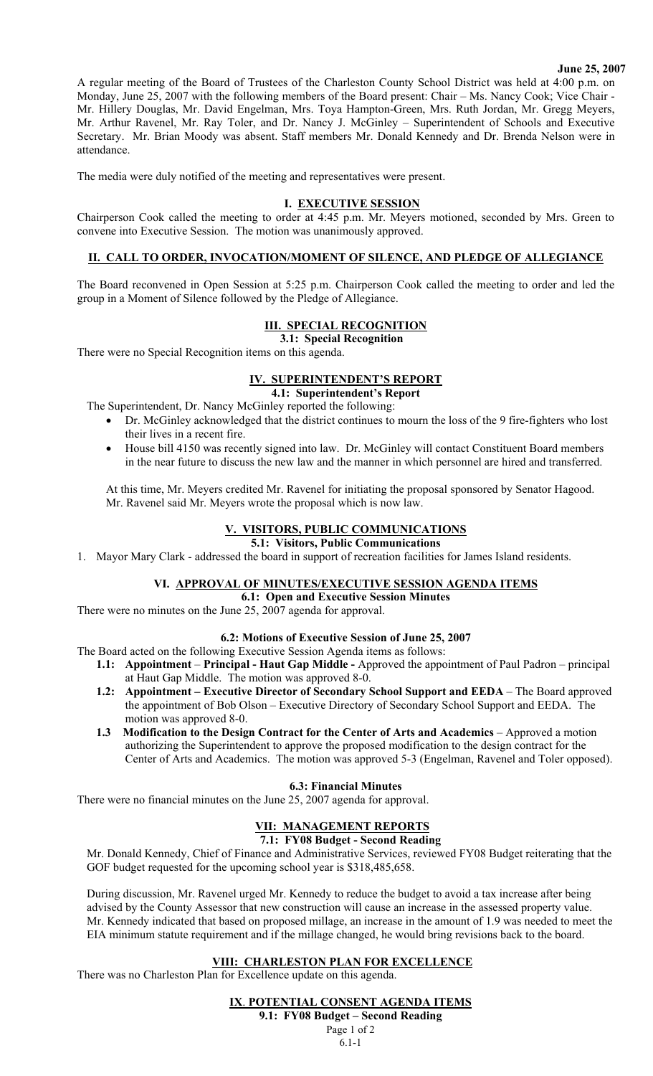#### **June 25, 2007**

A regular meeting of the Board of Trustees of the Charleston County School District was held at 4:00 p.m. on Monday, June 25, 2007 with the following members of the Board present: Chair – Ms. Nancy Cook; Vice Chair - Mr. Hillery Douglas, Mr. David Engelman, Mrs. Toya Hampton-Green, Mrs. Ruth Jordan, Mr. Gregg Meyers, Mr. Arthur Ravenel, Mr. Ray Toler, and Dr. Nancy J. McGinley – Superintendent of Schools and Executive Secretary. Mr. Brian Moody was absent. Staff members Mr. Donald Kennedy and Dr. Brenda Nelson were in attendance.

The media were duly notified of the meeting and representatives were present.

### **I. EXECUTIVE SESSION**

Chairperson Cook called the meeting to order at 4:45 p.m. Mr. Meyers motioned, seconded by Mrs. Green to convene into Executive Session. The motion was unanimously approved.

# **II. CALL TO ORDER, INVOCATION/MOMENT OF SILENCE, AND PLEDGE OF ALLEGIANCE**

The Board reconvened in Open Session at 5:25 p.m. Chairperson Cook called the meeting to order and led the group in a Moment of Silence followed by the Pledge of Allegiance.

# **III. SPECIAL RECOGNITION**

**3.1: Special Recognition** 

There were no Special Recognition items on this agenda.

# **IV. SUPERINTENDENT'S REPORT**

**4.1: Superintendent's Report** 

The Superintendent, Dr. Nancy McGinley reported the following:

- Dr. McGinley acknowledged that the district continues to mourn the loss of the 9 fire-fighters who lost their lives in a recent fire.
- House bill 4150 was recently signed into law. Dr. McGinley will contact Constituent Board members in the near future to discuss the new law and the manner in which personnel are hired and transferred.

At this time, Mr. Meyers credited Mr. Ravenel for initiating the proposal sponsored by Senator Hagood. Mr. Ravenel said Mr. Meyers wrote the proposal which is now law.

# **V. VISITORS, PUBLIC COMMUNICATIONS**

#### **5.1: Visitors, Public Communications**

1. Mayor Mary Clark - addressed the board in support of recreation facilities for James Island residents.

#### **VI. APPROVAL OF MINUTES/EXECUTIVE SESSION AGENDA ITEMS**

**6.1: Open and Executive Session Minutes** 

There were no minutes on the June 25, 2007 agenda for approval.

#### **6.2: Motions of Executive Session of June 25, 2007**

The Board acted on the following Executive Session Agenda items as follows:

- **1.1: Appointment Principal Haut Gap Middle** Approved the appointment of Paul Padron principal at Haut Gap Middle. The motion was approved 8-0.
- **1.2:** Appointment Executive Director of Secondary School Support and EEDA The Board approved the appointment of Bob Olson – Executive Directory of Secondary School Support and EEDA. The motion was approved 8-0.
- **1.3 Modification to the Design Contract for the Center of Arts and Academics** Approved a motion authorizing the Superintendent to approve the proposed modification to the design contract for the Center of Arts and Academics. The motion was approved 5-3 (Engelman, Ravenel and Toler opposed).

### **6.3: Financial Minutes**

There were no financial minutes on the June 25, 2007 agenda for approval.

# **VII: MANAGEMENT REPORTS**

#### **7.1: FY08 Budget - Second Reading**

Mr. Donald Kennedy, Chief of Finance and Administrative Services, reviewed FY08 Budget reiterating that the GOF budget requested for the upcoming school year is \$318,485,658.

During discussion, Mr. Ravenel urged Mr. Kennedy to reduce the budget to avoid a tax increase after being advised by the County Assessor that new construction will cause an increase in the assessed property value. Mr. Kennedy indicated that based on proposed millage, an increase in the amount of 1.9 was needed to meet the EIA minimum statute requirement and if the millage changed, he would bring revisions back to the board.

#### **VIII: CHARLESTON PLAN FOR EXCELLENCE**

There was no Charleston Plan for Excellence update on this agenda.

**IX**. **POTENTIAL CONSENT AGENDA ITEMS**

**9.1: FY08 Budget – Second Reading**